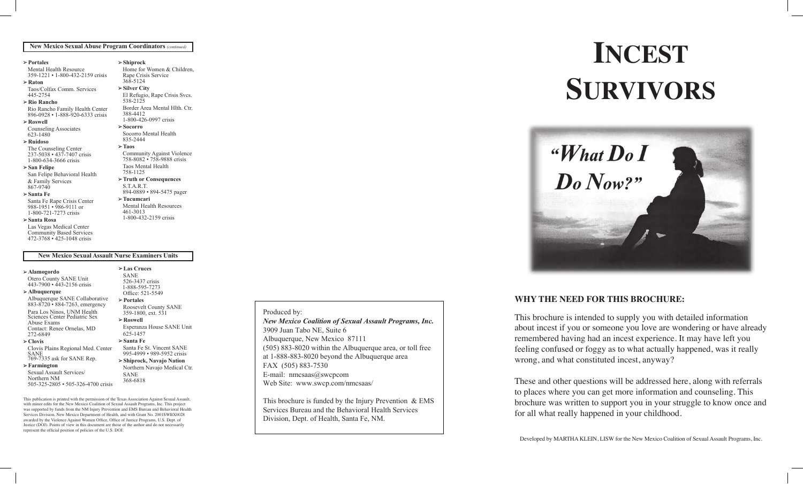#### *Additional Brochures* **New Mexico Sexual Abuse Program Coordinators** *(continued)*

#### **Portales**

Mental Health Resource 359-1221 • 1-800-432-2159 crisis

**Raton** Taos/Colfax Comm. Services

445-2754 **Rio Rancho**

Rio Rancho Family Health Center 896-0928 • 1-888-920-6333 crisis

**Roswell**  Counseling Associates

623-1480 **Ruidoso**

The Counseling Center 237-5038 • 437-7407 crisis 1-800-634-3666 crisis

## **San Felipe**

San Felipe Behavioral Health & Family Services 867-9740

#### **Santa Fe** Santa Fe Rape Crisis Center 988-1951 • 986-9111 or

1-800-721-7273 crisis **Santa Rosa**

Las Vegas Medical Center

Community Based Services 472-3768 • 425-1048 crisis

### **New Mexico Sexual Assault Nurse Examiners Units**

**Alamogordo**

Otero County SANE Unit 443-7900 • 443-2156 crisis

**Albuquerque** Albuquerque SANE Collaborative 883-8720 • 884-7263, emergency Para Los Ninos, UNM Health Sciences Center Pediatric Sex **Contact: Renee Ornelas, MD** 272-6849

**Clovis** Clovis Plains Regional Med. Center

SANE<br>769-7335 ask for SANE Rep.

**Farmington** Sexual Assault Services/ Northern NM

505-325-2805 • 505-326-4700 crisis

This publication is printed with the permission of the Texas Association Against Sexual Assault, with minor edits for the New Mexico Coalition of Sexual Assault Programs, Inc. This project was supported by funds from the NM Injury Prevention and EMS Bureau and Behavioral Health Services Division, New Mexico Department of Health, and with Grant No. 2001SWBX0028 awarded by the Violence Against Women Office, Office of Justice Programs, U.S. Dept. of Justice (DOJ). Points of view in this document are those of the author and do not necessarily represent the official position of policies of the U.S. DOJ.

#### **Shiprock Home for Women & Children.** Rape Crisis Service 368-5124 **Silver City** El Refugio, Rape Crisis Svcs.538-2125 Border Area Mental Hlth. Ctr. 388-4412 1-800-426-0997 crisis **Socorro** Socorro Mental Health 835-2444 **Taos**

Community Against Violence 758-8082 • 758-9888 crisis Taos Mental Health 758-1125

**Truth or Consequences** S.T.A.R.T. 894-0889 • 894-5475 pager

**Tucumcari** Mental Health Resources 461-3013 1-800-432-2159 crisis

Roosevelt County SANE 359-1800, ext. 531 **Roswell**

Esperanza House SANE Unit

Santa Fe St. Vincent SANE 995-4999 • 989-5952 crisis **Shiprock, Navajo Nation** Northern Navajo Medical Ctr.

**Las Cruces** SANE 526-3437 crisis 1-888-595-7273 Office: 521-5549 **Portales**

625-1457 **Santa Fe**

> SANE 368-6818

#### Produced by: **New Mexico Coalition of Sexual Assault Programs, Inc.** 3909 Juan Tabo NE, Suite 6 Albuquerque, New Mexico 87111  $(505)$  883-8020 within the Albuquerque area, or toll free  $\frac{1}{2}$ at 1-888-883-8020 beyond the Albuquerque area FAX (505) 883-7530 E-mail: nmcsaas@swcpcom Web Site: www.swcp.com/nmcsaas/ **Bernalillo** La Buena Vida • 867-2383  $\overline{\phantom{a}}$ 885-885-8888 **• 885-8888** Border Area Mental Health Center 546-2174 • 1-800-426-0997 crisis Northern NM Family Crisis Center 753-1656 • 1-800-206-1656 crisis

864-1909 • 865-3359

This brochure is funded by the Injury Prevention & EMS Services Bureau and the Behavioral Health Services Division, Dept. of Health, Santa Fe, NM.  $\sim$   $\frac{1}{2}$   $\sim$   $\frac{1}{2}$   $\sim$   $\frac{1}{2}$   $\sim$   $\frac{1}{2}$   $\sim$   $\frac{1}{2}$   $\sim$   $\frac{1}{2}$   $\sim$   $\frac{1}{2}$   $\sim$   $\frac{1}{2}$   $\sim$   $\frac{1}{2}$   $\sim$   $\frac{1}{2}$   $\sim$   $\frac{1}{2}$   $\sim$   $\frac{1}{2}$   $\sim$   $\frac{1}{2}$   $\sim$   $\frac{1}{2}$   $\sim$   $\frac{1}{$  $\mathbf{S}$  **b** 

# $INCEST$  $\textbf{SURVIVORS}$ group for incest survivors. Either way, find a therapist who incest survivors. Either way, find a therapist who include  $\Omega$ believes your feelings and memories. Give yourself the



#### **WHY THE NEED FOR THIS BROCHURE: Last Cruces**

This brochure is intended to supply you with detailed information about incest if you or someone you love are wondering or have already remembered having had an incest experience. It may have left you feeling confused or foggy as to what actually happened, was it really wrong, and what constituted incest, anyway?  $\mathcal{L}$ <sup>2</sup>

These and other questions will be addressed here, along with referrals to places where you can get more information and counseling. This **b** the council  $\alpha$ brochure was written to support you in your struggle to know once and for all what really happened in your childhood. **DIOCHUITE** WAS WILL

Developed by MARTHA KLEIN, LISW for the New Mexico Coalition of Sexual Assault Programs, Inc.